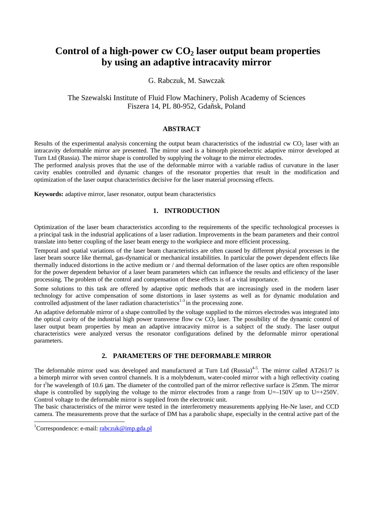# **Control of a high-power cw CO2 laser output beam properties by using an adaptive intracavity mirror**

# G. Rabczuk, M. Sawczak

# The Szewalski Institute of Fluid Flow Machinery, Polish Academy of Sciences Fiszera 14, PL 80-952, Gdañsk, Poland

## **ABSTRACT**

Results of the experimental analysis concerning the output beam characteristics of the industrial cw  $CO<sub>2</sub>$  laser with an intracavity deformable mirror are presented. The mirror used is a bimorph piezoelectric adaptive mirror developed at Turn Ltd (Russia). The mirror shape is controlled by supplying the voltage to the mirror electrodes.

The performed analysis proves that the use of the deformable mirror with a variable radius of curvature in the laser cavity enables controlled and dynamic changes of the resonator properties that result in the modification and optimization of the laser output characteristics decisive for the laser material processing effects.

**Keywords:** adaptive mirror, laser resonator, output beam characteristics

### **1. INTRODUCTION**

Optimization of the laser beam characteristics according to the requirements of the specific technological processes is a principal task in the industrial applications of a laser radiation. Improvements in the beam parameters and their control translate into better coupling of the laser beam energy to the workpiece and more efficient processing.

Temporal and spatial variations of the laser beam characteristics are often caused by different physical processes in the laser beam source like thermal, gas-dynamical or mechanical instabilities. In particular the power dependent effects like thermally induced distortions in the active medium or / and thermal deformation of the laser optics are often responsible for the power dependent behavior of a laser beam parameters which can influence the results and efficiency of the laser processing. The problem of the control and compensation of these effects is of a vital importance.

Some solutions to this task are offered by adaptive optic methods that are increasingly used in the modern laser technology for active compensation of some distortions in laser systems as well as for dynamic modulation and controlled adjustment of the laser radiation characteristics $1-3$  in the processing zone.

An adaptive deformable mirror of a shape controlled by the voltage supplied to the mirrors electrodes was integrated into the optical cavity of the industrial high power transverse flow cw  $CO<sub>2</sub>$  laser. The possibility of the dynamic control of laser output beam properties by mean an adaptive intracavity mirror is a subject of the study. The laser output characteristics were analyzed versus the resonator configurations defined by the deformable mirror operational parameters.

# **2. PARAMETERS OF THE DEFORMABLE MIRROR**

The deformable mirror used was developed and manufactured at Turn Ltd (Russia)<sup>4-5</sup>. The mirror called AT261/7 is a bimorph mirror with seven control channels. It is a molybdenum, water-cooled mirror with a high reflectivity coating for  $t^1$ he wavelength of 10.6 µm. The diameter of the controlled part of the mirror reflective surface is 25mm. The mirror shape is controlled by supplying the voltage to the mirror electrodes from a range from U=–150V up to U=+250V. Control voltage to the deformable mirror is supplied from the electronic unit.

The basic characteristics of the mirror were tested in the interferometry measurements applying He-Ne laser, and CCD camera. The measurements prove that the surface of DM has a parabolic shape, especially in the central active part of the

l

<sup>&</sup>lt;sup>1</sup>Correspondence: e-mail:  $rabczuk@imp.gda.pl$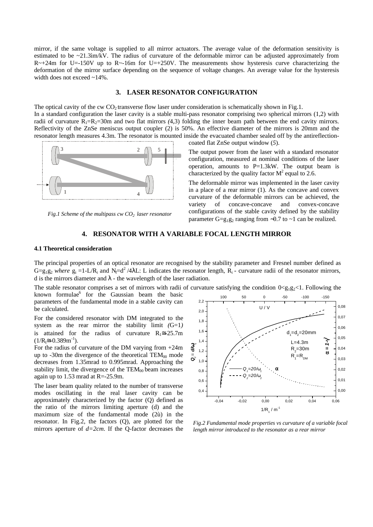mirror, if the same voltage is supplied to all mirror actuators. The average value of the deformation sensitivity is estimated to be  $\sim$ 21.3ìm/kV. The radius of curvature of the deformable mirror can be adjusted approximately from  $R\sim+24m$  for U=-150V up to R $\sim$ -16m for U=+250V. The measurements show hysteresis curve characterizing the deformation of the mirror surface depending on the sequence of voltage changes. An average value for the hysteresis width does not exceed ~14%.

### **3. LASER RESONATOR CONFIGURATION**

The optical cavity of the cw  $CO<sub>2</sub>$  transverse flow laser under consideration is schematically shown in Fig.1. In a standard configuration the laser cavity is a stable multi-pass resonator comprising two spherical mirrors (1,2) with radii of curvature  $R_1=R_2=30$ m and two flat mirrors (4,3) folding the inner beam path between the end cavity mirrors. Reflectivity of the ZnSe meniscus output coupler (2) is 50%. An effective diameter of the mirrors is 20mm and the resonator length measures 4.3m. The resonator is mounted inside the evacuated chamber sealed off by the antireflectioncoated flat ZnSe output window (*5*).



*Fig.1 Scheme of the multipass cw CO2 laser resonator*

The output power from the laser with a standard resonator configuration, measured at nominal conditions of the laser

operation, amounts to  $P=1.3kW$ . The output beam is characterized by the quality factor  $M^2$  equal to 2.6. The deformable mirror was implemented in the laser cavity in a place of a rear mirror (1). As the concave and convex

curvature of the deformable mirrors can be achieved, the variety of concave-concave and convex-concave configurations of the stable cavity defined by the stability parameter G=g<sub>1</sub>g<sub>2</sub> ranging from ∼0.7 to ∼1 can be realized.

### **4. RESONATOR WITH A VARIABLE FOCAL LENGTH MIRROR**

#### **4.1 Theoretical consideration**

The principal properties of an optical resonator are recognised by the stability parameter and Fresnel number defined as  $G=g_1g_2$  where  $g_i =1-L/R_i$  and  $N_f=d^2/4\lambda L$ : L indicates the resonator length,  $R_i$ - curvature radii of the resonator mirrors, d is the mirrors diameter and  $\lambda$  - the wavelength of the laser radiation.

The stable resonator comprises a set of mirrors with radii of curvature satisfying the condition  $0 \lt g_1 g_2 \lt 1$ . Following the

known formulae<sup>6</sup> for the Gaussian beam the basic parameters of the fundamental mode in a stable cavity can be calculated.

For the considered resonator with DM integrated to the system as the rear mirror the stability limit *(*G=1*)* is attained for the radius of curvature  $R_1 \approx -25.7$ m  $(1/R<sub>i</sub>\cong -0.389$ m<sup>-1</sup>).

For the radius of curvature of the DM varying from +24m up to -30m the divergence of the theoretical  $TEM_{00}$  mode decreases from 1.35mrad to 0.995mrad. Approaching the stability limit, the divergence of the  $TEM_{00}$  beam increases again up to 1.53 mrad at R=-25.9m.

The laser beam quality related to the number of transverse modes oscillating in the real laser cavity can be approximately characterized by the factor (Q) defined as the ratio of the mirrors limiting aperture (d) and the maximum size of the fundamental mode (2ù) in the resonator. In Fig.2, the factors (Q), are plotted for the mirrors aperture of *d=2cm*. If the Q-factor decreases the



*Fig.2 Fundamental mode properties vs curvature of a variable focal length mirror introduced to the resonator as a rear mirror*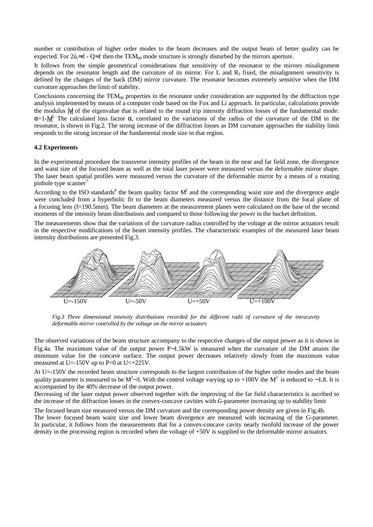number or contribution of higher order modes to the beam decreases and the output beam of better quality can be expected. For  $2\hat{u}_i \approx d - Q \approx I$  then the TEM<sub>00</sub> mode structure is strongly disturbed by the mirrors aperture.

It follows from the simple geometrical considerations that sensitivity of the resonator to the mirrors misalignment depends on the resonator length and the curvature of its mirror. For L and  $R_2$  fixed, the misalignment sensitivity is defined by the changes of the back (DM) mirror curvature. The resonator becomes extremely sensitive when the DM curvature approaches the limit of stability.

Conclusions concerning the TEM<sub>00</sub> properties in the resonator under consideration are supported by the diffraction type analysis implemented by means of a computer code based on the Fox and Li approach. In particular, calculations provide the modulus |γ| of the eigenvalue that is related to the round trip intensity diffraction losses of the fundamental mode:  $\alpha=1$ - $|\gamma|^2$ . The calculated loss factor  $\alpha$ , correlated to the variations of the radius of the curvature of the DM in the resonator, is shown in Fig.2. The strong increase of the diffraction losses as DM curvature approaches the stability limit responds to the strong increase of the fundamental mode size in that region.

#### **4.2 Experiments**

In the experimental procedure the transverse intensity profiles of the beam in the near and far field zone, the divergence and waist size of the focused beam as well as the total laser power were measured versus the deformable mirror shape. The laser beam spatial profiles were measured versus the curvature of the deformable mirror by a means of a rotating pinhole type scanner<sup>7</sup>

According to the ISO standards<sup>8</sup> the beam quality factor  $M^2$  and the corresponding waist size and the divergence angle were concluded from a hyperbolic fit to the beam diameters measured versus the distance from the focal plane of a focusing lens (f=190.5mm). The beam diameters at the measurement planes were calculated on the base of the second moments of the intensity beam distributions and compared to those following the power in the bucket definition.

The measurements show that the variations of the curvature radius controlled by the voltage at the mirror actuators result in the respective modifications of the beam intensity profiles. The characteristic examples of the measured laser beam intensity distributions are presented Fig.3.



*Fig.3 Three dimensional intensity distributions recorded for the different radii of curvature of the intracavity deformable mirror controlled by the voltage on the mirror actuators*

The observed variations of the beam structure accompany to the respective changes of the output power as it is shown in Fig.4a. The maximum value of the output power P∼1.5kW is measured when the curvature of the DM attains the minimum value for the concave surface. The output power decreases relatively slowly from the maximum value measured at U=-150V up to P=0 at U $\lt$ +225V.

At U=-150V the recorded beam structure corresponds to the largest contribution of the higher order modes and the beam quality parameter is measured to be M<sup>2</sup>∼3. With the control voltage varying up to +100V the M<sup>2</sup> is reduced to ~1.8. It is accompanied by the 40% decrease of the output power.

Decreasing of the laser output power observed together with the improving of the far field characteristics is ascribed to the increase of the diffraction losses in the convex-concave cavities with *G*-parameter increasing up to stability limit

The focused beam size measured versus the DM curvature and the corresponding power density are given in Fig.4b. The lower focused beam waist size and lower beam divergence are measured with increasing of the G-parameter. In particular, it follows from the measurements that for a convex-concave cavity nearly twofold increase of the power density in the processing region is recorded when the voltage of +50V is supplied to the deformable mirror actuators.